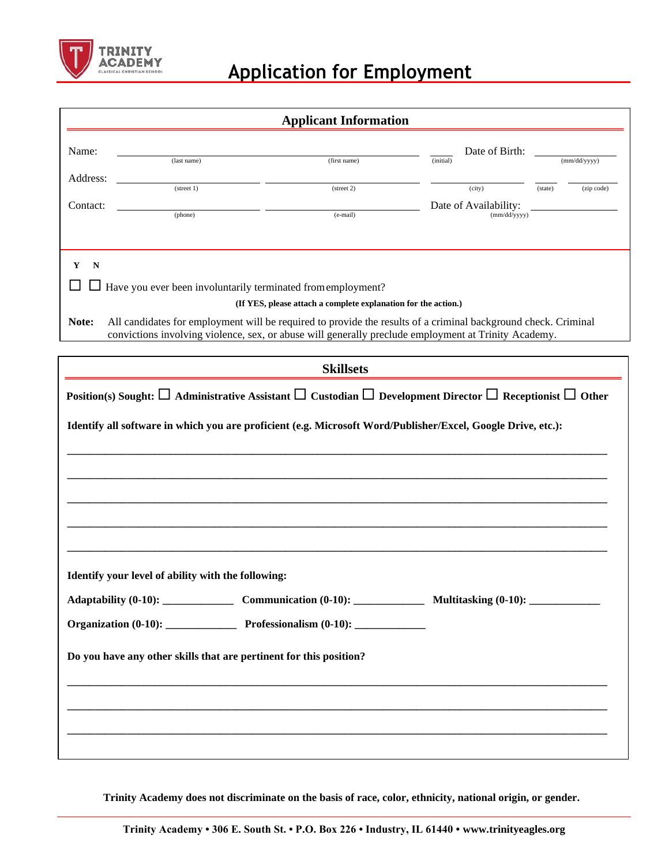

## **Application for Employment**

|                                                                    |                                                                     | <b>Applicant Information</b>                                                                                                                                                                                           |                                       |                       |  |  |
|--------------------------------------------------------------------|---------------------------------------------------------------------|------------------------------------------------------------------------------------------------------------------------------------------------------------------------------------------------------------------------|---------------------------------------|-----------------------|--|--|
| Name:                                                              |                                                                     |                                                                                                                                                                                                                        | Date of Birth:                        |                       |  |  |
| Address:                                                           | (last name)                                                         | (first name)                                                                                                                                                                                                           | (initial)                             | (mm/dd/yyyy)          |  |  |
|                                                                    | $(\text{street } 1)$                                                | (street 2)                                                                                                                                                                                                             | (city)                                | (state)<br>(zip code) |  |  |
| Contact:                                                           | (phone)                                                             | (e-mail)                                                                                                                                                                                                               | Date of Availability:<br>(mm/dd/yyyy) |                       |  |  |
|                                                                    |                                                                     |                                                                                                                                                                                                                        |                                       |                       |  |  |
| Y<br>N                                                             |                                                                     |                                                                                                                                                                                                                        |                                       |                       |  |  |
|                                                                    | $\Box$ Have you ever been involuntarily terminated from employment? |                                                                                                                                                                                                                        |                                       |                       |  |  |
|                                                                    |                                                                     | (If YES, please attach a complete explanation for the action.)                                                                                                                                                         |                                       |                       |  |  |
| Note:                                                              |                                                                     | All candidates for employment will be required to provide the results of a criminal background check. Criminal<br>convictions involving violence, sex, or abuse will generally preclude employment at Trinity Academy. |                                       |                       |  |  |
|                                                                    |                                                                     |                                                                                                                                                                                                                        |                                       |                       |  |  |
|                                                                    |                                                                     | <b>Skillsets</b>                                                                                                                                                                                                       |                                       |                       |  |  |
|                                                                    |                                                                     | Position(s) Sought: $\Box$ Administrative Assistant $\Box$ Custodian $\Box$ Development Director $\Box$ Receptionist $\Box$ Other                                                                                      |                                       |                       |  |  |
|                                                                    |                                                                     | Identify all software in which you are proficient (e.g. Microsoft Word/Publisher/Excel, Google Drive, etc.):                                                                                                           |                                       |                       |  |  |
| Identify your level of ability with the following:                 |                                                                     |                                                                                                                                                                                                                        |                                       |                       |  |  |
|                                                                    |                                                                     | Adaptability (0-10): Communication (0-10): Multitasking (0-10): ________________                                                                                                                                       |                                       |                       |  |  |
|                                                                    |                                                                     |                                                                                                                                                                                                                        |                                       |                       |  |  |
| Do you have any other skills that are pertinent for this position? |                                                                     |                                                                                                                                                                                                                        |                                       |                       |  |  |
|                                                                    |                                                                     |                                                                                                                                                                                                                        |                                       |                       |  |  |
|                                                                    |                                                                     |                                                                                                                                                                                                                        |                                       |                       |  |  |
|                                                                    |                                                                     |                                                                                                                                                                                                                        |                                       |                       |  |  |

**Trinity Academy does not discriminate on the basis of race, color, ethnicity, national origin, or gender.**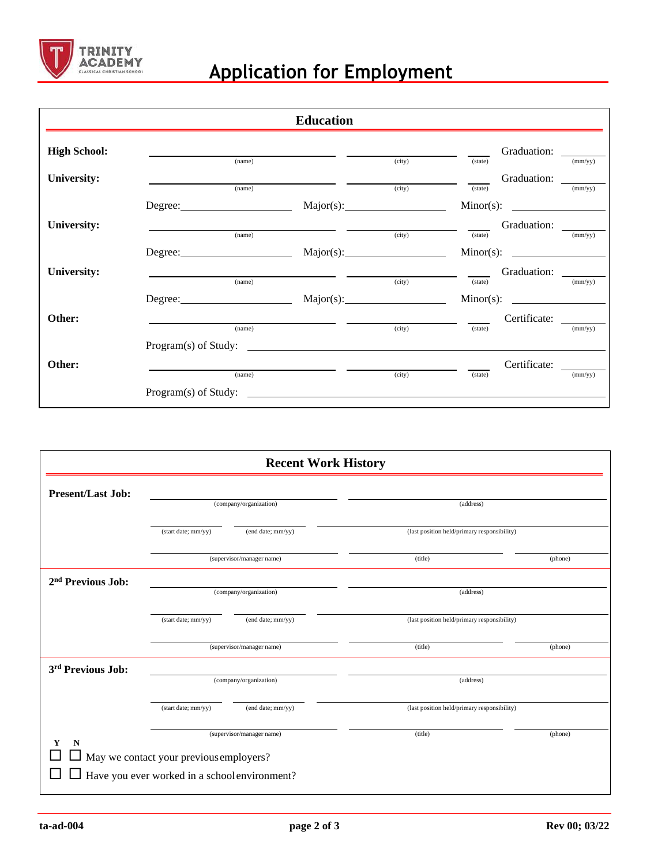

## **Application for Employment**

|                     |                                                                    | <b>Education</b>                                                                |        |         |              |         |
|---------------------|--------------------------------------------------------------------|---------------------------------------------------------------------------------|--------|---------|--------------|---------|
| <b>High School:</b> |                                                                    |                                                                                 |        |         | Graduation:  |         |
|                     | (name)                                                             |                                                                                 | (city) | (state) |              | (mm/yy) |
| University:         | (name)                                                             |                                                                                 | (city) | (state) |              | (mm/yy) |
|                     |                                                                    |                                                                                 |        |         |              |         |
| <b>University:</b>  |                                                                    | the contract of the contract of the contract of the contract of the contract of |        |         |              |         |
|                     | (name)                                                             |                                                                                 | (city) | (state) |              | (mm/yy) |
|                     |                                                                    |                                                                                 |        |         |              |         |
| University:         | <u> 1980 - Jan Samuel Barbara, margaret eta idazlea (h. 1980).</u> |                                                                                 |        |         |              |         |
|                     | (name)                                                             |                                                                                 | (city) | (state) |              | (mm/yy) |
|                     |                                                                    |                                                                                 |        |         |              |         |
| Other:              |                                                                    |                                                                                 |        |         |              |         |
|                     | (name)                                                             |                                                                                 | (city) | (state) |              | (mm/yy) |
|                     |                                                                    |                                                                                 |        |         |              |         |
| Other:              |                                                                    |                                                                                 |        |         | Certificate: |         |
|                     | (name)                                                             |                                                                                 | (city) | (state) |              | (mm/yy) |
|                     | $Program(s)$ of Study: $\qquad \qquad$                             |                                                                                 |        |         |              |         |

| <b>Recent Work History</b>    |                                                                                                 |                           |                                             |         |  |
|-------------------------------|-------------------------------------------------------------------------------------------------|---------------------------|---------------------------------------------|---------|--|
| <b>Present/Last Job:</b>      |                                                                                                 |                           |                                             |         |  |
|                               | (company/organization)                                                                          |                           | (address)                                   |         |  |
|                               | (start date; mm/yy)                                                                             | (end date; mm/yy)         | (last position held/primary responsibility) |         |  |
|                               |                                                                                                 | (supervisor/manager name) | (title)                                     | (phone) |  |
| 2 <sup>nd</sup> Previous Job: | (company/organization)                                                                          |                           | (address)                                   |         |  |
|                               | (start date; mm/yy)                                                                             | (end date; mm/yy)         | (last position held/primary responsibility) |         |  |
|                               |                                                                                                 | (supervisor/manager name) | (title)                                     | (phone) |  |
| 3rd Previous Job:             |                                                                                                 |                           |                                             |         |  |
|                               | (company/organization)                                                                          |                           | (address)                                   |         |  |
|                               | (start date; mm/yy)                                                                             | (end date; mm/yy)         | (last position held/primary responsibility) |         |  |
| Y<br>$\mathbf N$              |                                                                                                 | (supervisor/manager name) | (title)                                     | (phone) |  |
|                               | $\Box$ May we contact your previous employers?<br>Have you ever worked in a school environment? |                           |                                             |         |  |